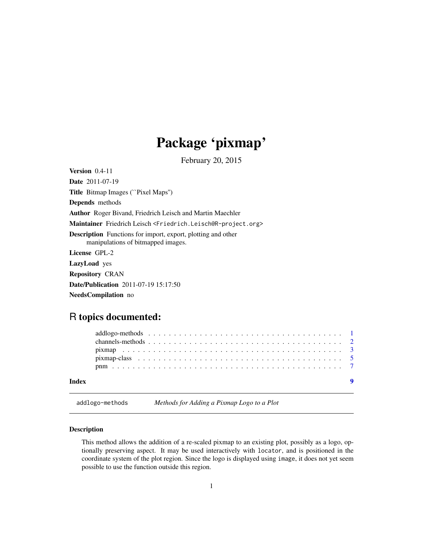## Package 'pixmap'

February 20, 2015

<span id="page-0-1"></span><span id="page-0-0"></span>Version 0.4-11 Date 2011-07-19 Title Bitmap Images (``Pixel Maps'') Depends methods Author Roger Bivand, Friedrich Leisch and Martin Maechler Maintainer Friedrich Leisch <Friedrich.Leisch@R-project.org> Description Functions for import, export, plotting and other manipulations of bitmapped images. License GPL-2 LazyLoad yes Repository CRAN Date/Publication 2011-07-19 15:17:50

NeedsCompilation no

### R topics documented:

| Index |  |  |  |  |  |  |  |  |  |  |  |  |  |
|-------|--|--|--|--|--|--|--|--|--|--|--|--|--|
|       |  |  |  |  |  |  |  |  |  |  |  |  |  |
|       |  |  |  |  |  |  |  |  |  |  |  |  |  |
|       |  |  |  |  |  |  |  |  |  |  |  |  |  |
|       |  |  |  |  |  |  |  |  |  |  |  |  |  |
|       |  |  |  |  |  |  |  |  |  |  |  |  |  |

addlogo-methods *Methods for Adding a Pixmap Logo to a Plot*

#### Description

This method allows the addition of a re-scaled pixmap to an existing plot, possibly as a logo, optionally preserving aspect. It may be used interactively with locator, and is positioned in the coordinate system of the plot region. Since the logo is displayed using image, it does not yet seem possible to use the function outside this region.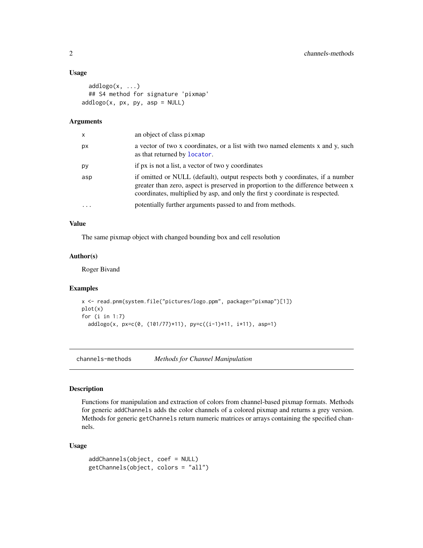#### Usage

```
addlogo(x, \ldots)## S4 method for signature 'pixmap'
addlogo(x, px, py, asp = NULL)
```
#### Arguments

| x         | an object of class pixmap                                                                                                                                                                                                                          |
|-----------|----------------------------------------------------------------------------------------------------------------------------------------------------------------------------------------------------------------------------------------------------|
| рx        | a vector of two x coordinates, or a list with two named elements x and y, such<br>as that returned by locator.                                                                                                                                     |
| рy        | if px is not a list, a vector of two y coordinates                                                                                                                                                                                                 |
| asp       | if omitted or NULL (default), output respects both y coordinates, if a number<br>greater than zero, aspect is preserved in proportion to the difference between x<br>coordinates, multiplied by asp, and only the first y coordinate is respected. |
| $\ddotsc$ | potentially further arguments passed to and from methods.                                                                                                                                                                                          |

#### Value

The same pixmap object with changed bounding box and cell resolution

#### Author(s)

Roger Bivand

#### Examples

```
x <- read.pnm(system.file("pictures/logo.ppm", package="pixmap")[1])
plot(x)
for (i in 1:7)
  addlogo(x, px=c(0, (101/77)*11), py=c((i-1)*11, i*11), asp=1)
```
channels-methods *Methods for Channel Manipulation*

#### Description

Functions for manipulation and extraction of colors from channel-based pixmap formats. Methods for generic addChannels adds the color channels of a colored pixmap and returns a grey version. Methods for generic getChannels return numeric matrices or arrays containing the specified channels.

#### Usage

```
addChannels(object, coef = NULL)
getChannels(object, colors = "all")
```
<span id="page-1-0"></span>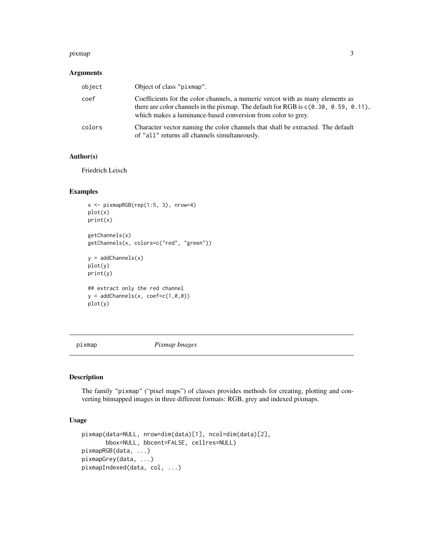#### <span id="page-2-0"></span>pixmap 3

#### Arguments

| object | Object of class "pixmap".                                                                                                                                                                                                                |
|--------|------------------------------------------------------------------------------------------------------------------------------------------------------------------------------------------------------------------------------------------|
| coef   | Coefficients for the color channels, a numeric vercot with as many elements as<br>there are color channels in the pixmap. The default for RGB is $c(0.30, 0.59, 0.11)$ ,<br>which makes a luminance-based conversion from color to grey. |
| colors | Character vector naming the color channels that shall be extracted. The default<br>of "all" returns all channels simultaneously.                                                                                                         |

#### Author(s)

Friedrich Leisch

#### Examples

```
x <- pixmapRGB(rep(1:5, 3), nrow=4)
plot(x)
print(x)
getChannels(x)
getChannels(x, colors=c("red", "green"))
y = addChannels(x)
plot(y)
print(y)
## extract only the red channel
y = addChannels(x, coef=c(1,0,0))plot(y)
```
<span id="page-2-1"></span>pixmap *Pixmap Images*

#### <span id="page-2-2"></span>Description

The family "pixmap" ("pixel maps") of classes provides methods for creating, plotting and converting bitmapped images in three different formats: RGB, grey and indexed pixmaps.

#### Usage

```
pixmap(data=NULL, nrow=dim(data)[1], ncol=dim(data)[2],
       bbox=NULL, bbcent=FALSE, cellres=NULL)
pixmapRGB(data, ...)
pixmapGrey(data, ...)
pixmapIndexed(data, col, ...)
```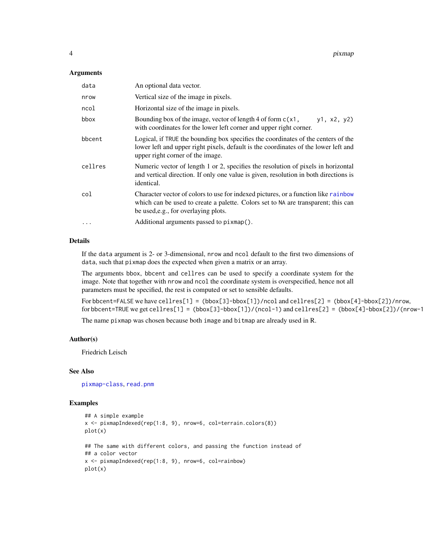#### <span id="page-3-0"></span>**Arguments**

| data    | An optional data vector.                                                                                                                                                                                        |  |  |  |  |  |  |
|---------|-----------------------------------------------------------------------------------------------------------------------------------------------------------------------------------------------------------------|--|--|--|--|--|--|
| nrow    | Vertical size of the image in pixels.                                                                                                                                                                           |  |  |  |  |  |  |
| ncol    | Horizontal size of the image in pixels.                                                                                                                                                                         |  |  |  |  |  |  |
| bbox    | Bounding box of the image, vector of length 4 of form $c(x)$ ,<br>y1, x2, y2)<br>with coordinates for the lower left corner and upper right corner.                                                             |  |  |  |  |  |  |
| bbcent  | Logical, if TRUE the bounding box specifies the coordinates of the centers of the<br>lower left and upper right pixels, default is the coordinates of the lower left and<br>upper right corner of the image.    |  |  |  |  |  |  |
| cellres | Numeric vector of length 1 or 2, specifies the resolution of pixels in horizontal<br>and vertical direction. If only one value is given, resolution in both directions is<br>identical.                         |  |  |  |  |  |  |
| col     | Character vector of colors to use for indexed pictures, or a function like rainbow<br>which can be used to create a palette. Colors set to NA are transparent; this can<br>be used, e.g., for overlaying plots. |  |  |  |  |  |  |
|         | Additional arguments passed to pixmap().                                                                                                                                                                        |  |  |  |  |  |  |

### Details

If the data argument is 2- or 3-dimensional, nrow and ncol default to the first two dimensions of data, such that pixmap does the expected when given a matrix or an array.

The arguments bbox, bbcent and cellres can be used to specify a coordinate system for the image. Note that together with nrow and ncol the coordinate system is overspecified, hence not all parameters must be specified, the rest is computed or set to sensible defaults.

For bbcent=FALSE we have cellres[1] = (bbox[3]-bbox[1])/ncol and cellres[2] = (bbox[4]-bbox[2])/nrow, for bbcent=TRUE we get cellres[1] = (bbox[3]-bbox[1])/(ncol-1) and cellres[2] = (bbox[4]-bbox[2])/(nrow-1

The name pixmap was chosen because both image and bitmap are already used in R.

#### Author(s)

Friedrich Leisch

#### See Also

[pixmap-class](#page-4-1), [read.pnm](#page-6-1)

#### Examples

```
## A simple example
x <- pixmapIndexed(rep(1:8, 9), nrow=6, col=terrain.colors(8))
plot(x)
## The same with different colors, and passing the function instead of
## a color vector
x \le - pixmapIndexed(rep(1:8, 9), nrow=6, col=rainbow)
plot(x)
```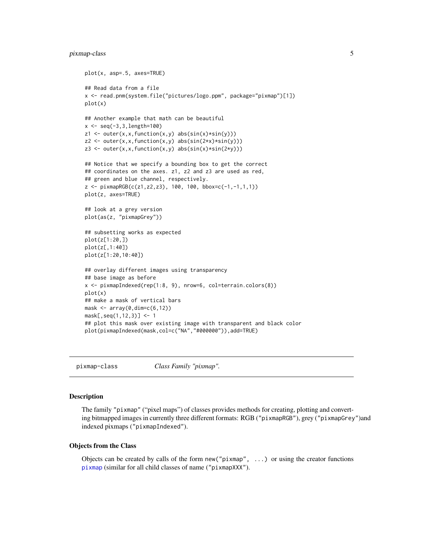#### <span id="page-4-0"></span>pixmap-class 5

```
plot(x, asp=.5, axes=TRUE)
## Read data from a file
x <- read.pnm(system.file("pictures/logo.ppm", package="pixmap")[1])
plot(x)
## Another example that math can be beautiful
x < - seq(-3, 3, length=100)
z1 \leftarrow outer(x, x, function(x, y) abs(sin(x)*sin(y)))z2 \le outer(x,x,function(x,y) abs(sin(2*x)*sin(y)))
z3 \le outer(x,x,function(x,y) abs(sin(x)*sin(2*y)))
## Notice that we specify a bounding box to get the correct
## coordinates on the axes. z1, z2 and z3 are used as red,
## green and blue channel, respectively.
z \le pixmapRGB(c(z1,z2,z3), 100, 100, bbox=c(-1,-1,1,1))
plot(z, axes=TRUE)
## look at a grey version
plot(as(z, "pixmapGrey"))
## subsetting works as expected
plot(z[1:20,])
plot(z[,1:40])
plot(z[1:20,10:40])
## overlay different images using transparency
## base image as before
x <- pixmapIndexed(rep(1:8, 9), nrow=6, col=terrain.colors(8))
plot(x)
## make a mask of vertical bars
mask \leftarrow array(0,dim=c(6,12))mask[,seq(1,12,3)] <- 1
## plot this mask over existing image with transparent and black color
plot(pixmapIndexed(mask,col=c("NA","#000000")),add=TRUE)
```
<span id="page-4-1"></span>pixmap-class *Class Family "pixmap".*

#### Description

The family "pixmap" ("pixel maps") of classes provides methods for creating, plotting and converting bitmapped images in currently three different formats: RGB ("pixmapRGB"), grey ("pixmapGrey")and indexed pixmaps ("pixmapIndexed").

#### Objects from the Class

Objects can be created by calls of the form  $new("pixmap", \ldots)$  or using the creator functions [pixmap](#page-2-1) (similar for all child classes of name ("pixmapXXX").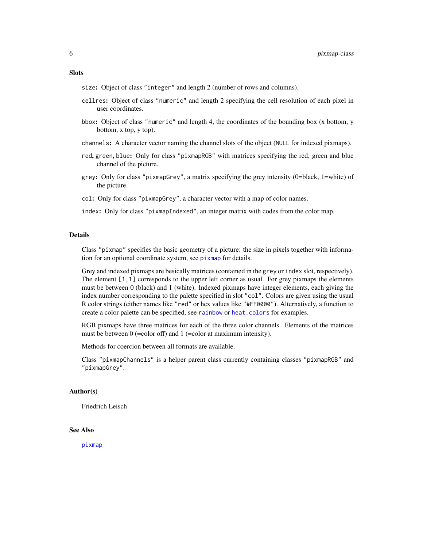#### <span id="page-5-0"></span>**Slots**

size: Object of class "integer" and length 2 (number of rows and columns).

- cellres: Object of class "numeric" and length 2 specifying the cell resolution of each pixel in user coordinates.
- bbox: Object of class "numeric" and length 4, the coordinates of the bounding box (x bottom, y bottom, x top, y top).
- channels: A character vector naming the channel slots of the object (NULL for indexed pixmaps).
- red, green, blue: Only for class "pixmapRGB" with matrices specifying the red, green and blue channel of the picture.
- grey: Only for class "pixmapGrey", a matrix specifying the grey intensity (0=black, 1=white) of the picture.
- col: Only for class "pixmapGrey", a character vector with a map of color names.

index: Only for class "pixmapIndexed", an integer matrix with codes from the color map.

#### Details

Class "pixmap" specifies the basic geometry of a picture: the size in pixels together with information for an optional coordinate system, see [pixmap](#page-2-1) for details.

Grey and indexed pixmaps are besically matrices (contained in the grey or index slot, respectively). The element [1,1] corresponds to the upper left corner as usual. For grey pixmaps the elements must be between 0 (black) and 1 (white). Indexed pixmaps have integer elements, each giving the index number corresponding to the palette specified in slot "col". Colors are given using the usual R color strings (either names like "red" or hex values like "#FF0000"). Alternatively, a function to create a color palette can be specified, see [rainbow](#page-0-1) or [heat.colors](#page-0-1) for examples.

RGB pixmaps have three matrices for each of the three color channels. Elements of the matrices must be between  $0$  (=color off) and 1 (=color at maximum intensity).

Methods for coercion between all formats are available.

Class "pixmapChannels" is a helper parent class currently containing classes "pixmapRGB" and "pixmapGrey".

#### Author(s)

Friedrich Leisch

#### See Also

[pixmap](#page-2-1)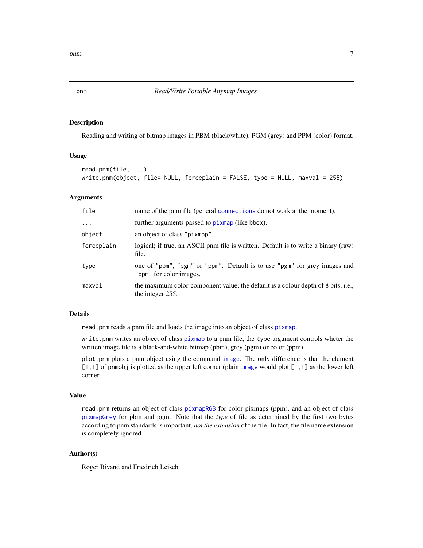#### Description

Reading and writing of bitmap images in PBM (black/white), PGM (grey) and PPM (color) format.

#### Usage

```
read.pnm(file, ...)
write.pnm(object, file= NULL, forceplain = FALSE, type = NULL, maxval = 255)
```
#### Arguments

| file       | name of the pnm file (general connections do not work at the moment).                                 |
|------------|-------------------------------------------------------------------------------------------------------|
| $\cdots$   | further arguments passed to pixmap (like bbox).                                                       |
| object     | an object of class "pixmap".                                                                          |
| forceplain | logical; if true, an ASCII pnm file is written. Default is to write a binary (raw)<br>file.           |
| type       | one of "pbm", "pgm" or "ppm". Default is to use "pgm" for grey images and<br>"ppm" for color images.  |
| maxval     | the maximum color-component value; the default is a colour depth of 8 bits, i.e.,<br>the integer 255. |

#### Details

read.pnm reads a pnm file and loads the image into an object of class [pixmap](#page-2-1).

write.pnm writes an object of class [pixmap](#page-2-1) to a pnm file, the type argument controls wheter the written image file is a black-and-white bitmap (pbm), grey (pgm) or color (ppm).

plot.pnm plots a pnm object using the command [image](#page-0-1). The only difference is that the element [1,1] of pnmobj is plotted as the upper left corner (plain [image](#page-0-1) would plot [1,1] as the lower left corner.

#### Value

read.pnm returns an object of class [pixmapRGB](#page-2-2) for color pixmaps (ppm), and an object of class [pixmapGrey](#page-2-2) for pbm and pgm. Note that the *type* of file as determined by the first two bytes according to pnm standards is important, *not the extension* of the file. In fact, the file name extension is completely ignored.

#### Author(s)

Roger Bivand and Friedrich Leisch

<span id="page-6-1"></span><span id="page-6-0"></span>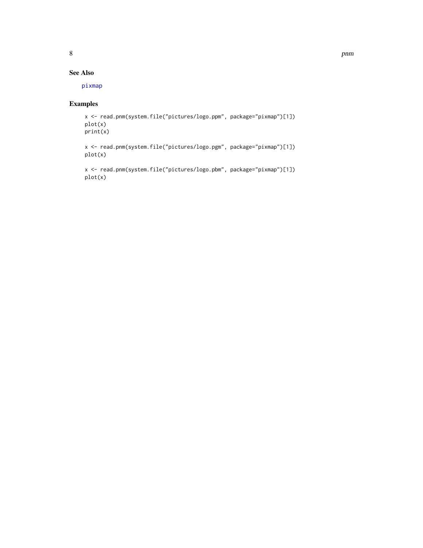#### <span id="page-7-0"></span>See Also

[pixmap](#page-2-1)

#### Examples

```
x <- read.pnm(system.file("pictures/logo.ppm", package="pixmap")[1])
plot(x)
print(x)
```
x <- read.pnm(system.file("pictures/logo.pgm", package="pixmap")[1]) plot(x)

x <- read.pnm(system.file("pictures/logo.pbm", package="pixmap")[1]) plot(x)